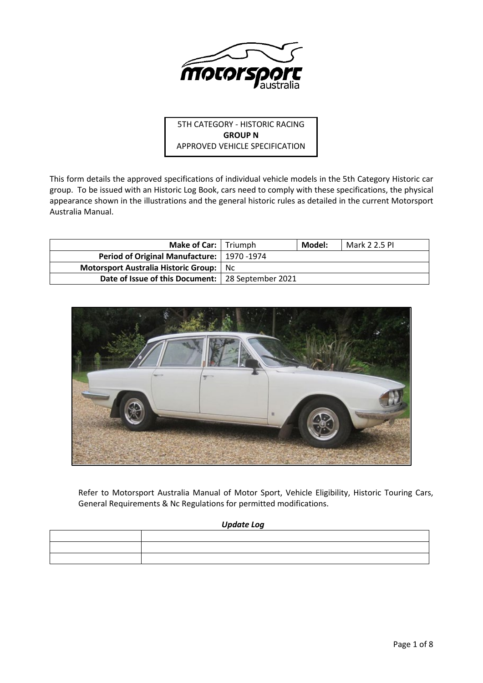

5TH CATEGORY - HISTORIC RACING **GROUP N** APPROVED VEHICLE SPECIFICATION

This form details the approved specifications of individual vehicle models in the 5th Category Historic car group. To be issued with an Historic Log Book, cars need to comply with these specifications, the physical appearance shown in the illustrations and the general historic rules as detailed in the current Motorsport Australia Manual.

| <b>Make of Car:</b> Triumph                         |     | Model: | Mark 2 2.5 PI |
|-----------------------------------------------------|-----|--------|---------------|
| Period of Original Manufacture:   1970 -1974        |     |        |               |
| Motorsport Australia Historic Group:                | Nc. |        |               |
| Date of Issue of this Document:   28 September 2021 |     |        |               |



Refer to Motorsport Australia Manual of Motor Sport, Vehicle Eligibility, Historic Touring Cars, General Requirements & Nc Regulations for permitted modifications.

## *Update Log*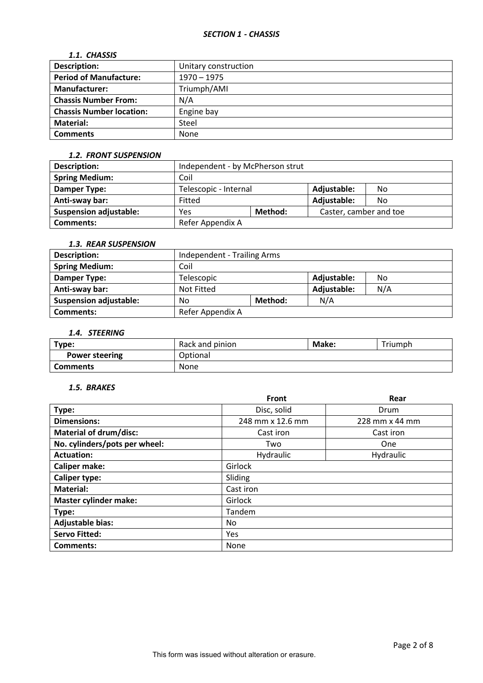## *1.1. CHASSIS*

| <b>Description:</b>             | Unitary construction |  |
|---------------------------------|----------------------|--|
| <b>Period of Manufacture:</b>   | $1970 - 1975$        |  |
| <b>Manufacturer:</b>            | Triumph/AMI          |  |
| <b>Chassis Number From:</b>     | N/A                  |  |
| <b>Chassis Number location:</b> | Engine bay           |  |
| <b>Material:</b>                | Steel                |  |
| <b>Comments</b>                 | None                 |  |

## *1.2. FRONT SUSPENSION*

| <b>Description:</b>           | Independent - by McPherson strut |  |                        |     |
|-------------------------------|----------------------------------|--|------------------------|-----|
| <b>Spring Medium:</b>         | Coil                             |  |                        |     |
| Damper Type:                  | Telescopic - Internal            |  | Adjustable:            | No. |
| Anti-sway bar:                | Fitted                           |  | Adjustable:            | No. |
| <b>Suspension adjustable:</b> | Method:<br>Yes                   |  | Caster, camber and toe |     |
| <b>Comments:</b>              | Refer Appendix A                 |  |                        |     |

# *1.3. REAR SUSPENSION*

| <b>Description:</b>           | Independent - Trailing Arms     |  |             |     |
|-------------------------------|---------------------------------|--|-------------|-----|
| <b>Spring Medium:</b>         | Coil                            |  |             |     |
| Damper Type:                  | Adjustable:<br>Telescopic<br>No |  |             |     |
| Anti-sway bar:                | Not Fitted                      |  | Adjustable: | N/A |
| <b>Suspension adjustable:</b> | Method:<br>No                   |  | N/A         |     |
| <b>Comments:</b>              | Refer Appendix A                |  |             |     |

# *1.4. STEERING*

| Type:                 | Rack and pinion | Make: | Triumph |
|-----------------------|-----------------|-------|---------|
| <b>Power steering</b> | Optional        |       |         |
| <b>Comments</b>       | None            |       |         |

## *1.5. BRAKES*

|                               | Front            | Rear           |  |  |
|-------------------------------|------------------|----------------|--|--|
| Type:                         | Disc, solid      | Drum           |  |  |
| <b>Dimensions:</b>            | 248 mm x 12.6 mm | 228 mm x 44 mm |  |  |
| <b>Material of drum/disc:</b> | Cast iron        | Cast iron      |  |  |
| No. cylinders/pots per wheel: | Two              | One            |  |  |
| <b>Actuation:</b>             | Hydraulic        | Hydraulic      |  |  |
| <b>Caliper make:</b>          | Girlock          |                |  |  |
| <b>Caliper type:</b>          | Sliding          |                |  |  |
| <b>Material:</b>              | Cast iron        |                |  |  |
| <b>Master cylinder make:</b>  | Girlock          |                |  |  |
| Type:                         | Tandem           |                |  |  |
| <b>Adjustable bias:</b>       | No.              |                |  |  |
| <b>Servo Fitted:</b>          | Yes              |                |  |  |
| <b>Comments:</b>              | None             |                |  |  |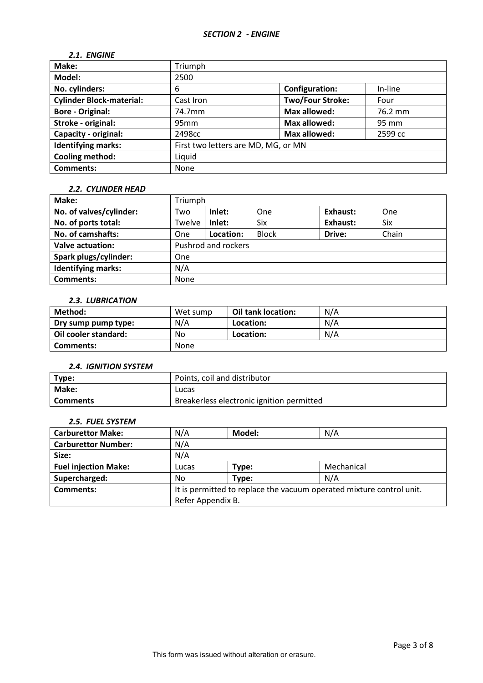# *2.1. ENGINE*

| Make:                           | Triumph                               |                         |         |
|---------------------------------|---------------------------------------|-------------------------|---------|
| Model:                          | 2500                                  |                         |         |
| No. cylinders:                  | <b>Configuration:</b><br>In-line<br>6 |                         |         |
| <b>Cylinder Block-material:</b> | Cast Iron                             | <b>Two/Four Stroke:</b> | Four    |
| <b>Bore - Original:</b>         | 74.7mm                                | <b>Max allowed:</b>     | 76.2 mm |
| Stroke - original:              | 95mm                                  | <b>Max allowed:</b>     | 95 mm   |
| Capacity - original:            | 2498cc                                | <b>Max allowed:</b>     | 2599 cc |
| <b>Identifying marks:</b>       | First two letters are MD, MG, or MN   |                         |         |
| Cooling method:                 | Liquid                                |                         |         |
| <b>Comments:</b>                | None                                  |                         |         |

## *2.2. CYLINDER HEAD*

| Make:                     | Triumph |                     |              |          |       |
|---------------------------|---------|---------------------|--------------|----------|-------|
| No. of valves/cylinder:   | Two     | Inlet:              | One          | Exhaust: | One   |
| No. of ports total:       | Twelve  | Inlet:              | <b>Six</b>   | Exhaust: | Six   |
| No. of camshafts:         | One     | Location:           | <b>Block</b> | Drive:   | Chain |
| <b>Valve actuation:</b>   |         | Pushrod and rockers |              |          |       |
| Spark plugs/cylinder:     | One     |                     |              |          |       |
| <b>Identifying marks:</b> | N/A     |                     |              |          |       |
| <b>Comments:</b>          | None    |                     |              |          |       |

# *2.3. LUBRICATION*

| Method:              | Wet sump | Oil tank location: | N/A |
|----------------------|----------|--------------------|-----|
| Dry sump pump type:  | N/A      | Location:          | N/A |
| Oil cooler standard: | No       | Location:          | N/A |
| Comments:            | None     |                    |     |

#### *2.4. IGNITION SYSTEM*

| l Type:  | Points, coil and distributor              |
|----------|-------------------------------------------|
| Make:    | Lucas                                     |
| Comments | Breakerless electronic ignition permitted |

## *2.5. FUEL SYSTEM*

| <b>Carburettor Make:</b>    | N/A   | Model:                                                               | N/A        |  |
|-----------------------------|-------|----------------------------------------------------------------------|------------|--|
| <b>Carburettor Number:</b>  | N/A   |                                                                      |            |  |
| Size:                       | N/A   |                                                                      |            |  |
| <b>Fuel injection Make:</b> | Lucas | Type:                                                                | Mechanical |  |
| Supercharged:               | No    | Type:                                                                | N/A        |  |
| Comments:                   |       | It is permitted to replace the vacuum operated mixture control unit. |            |  |
|                             |       | Refer Appendix B.                                                    |            |  |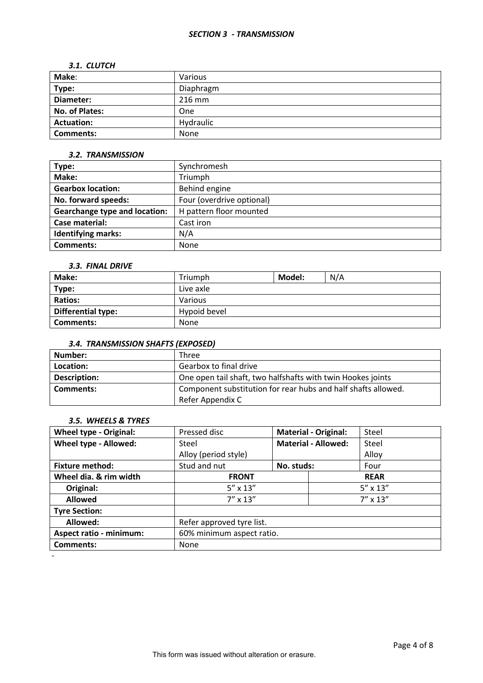## *SECTION 3 - TRANSMISSION*

## *3.1. CLUTCH*

| Make:             | Various   |
|-------------------|-----------|
| Type:             | Diaphragm |
| Diameter:         | 216 mm    |
| No. of Plates:    | One       |
| <b>Actuation:</b> | Hydraulic |
| <b>Comments:</b>  | None      |

## *3.2. TRANSMISSION*

| Type:                                | Synchromesh               |
|--------------------------------------|---------------------------|
| Make:                                | Triumph                   |
| <b>Gearbox location:</b>             | Behind engine             |
| No. forward speeds:                  | Four (overdrive optional) |
| <b>Gearchange type and location:</b> | H pattern floor mounted   |
| Case material:                       | Cast iron                 |
| <b>Identifying marks:</b>            | N/A                       |
| Comments:                            | <b>None</b>               |

## *3.3. FINAL DRIVE*

| <b>Make:</b>              | Triumph      | Model: | N/A |
|---------------------------|--------------|--------|-----|
| Type:                     | Live axle    |        |     |
| <b>Ratios:</b>            | Various      |        |     |
| <b>Differential type:</b> | Hypoid bevel |        |     |
| <b>Comments:</b>          | None         |        |     |

# *3.4. TRANSMISSION SHAFTS (EXPOSED)*

| Number:      | Three                                                         |
|--------------|---------------------------------------------------------------|
| Location:    | Gearbox to final drive                                        |
| Description: | One open tail shaft, two halfshafts with twin Hookes joints   |
| Comments:    | Component substitution for rear hubs and half shafts allowed. |
|              | Refer Appendix C                                              |

## *3.5. WHEELS & TYRES*

| <b>Wheel type - Original:</b>  | Pressed disc              |             | <b>Material - Original:</b> | Steel             |
|--------------------------------|---------------------------|-------------|-----------------------------|-------------------|
| Wheel type - Allowed:          | Steel                     |             | <b>Material - Allowed:</b>  | Steel             |
|                                | Alloy (period style)      |             |                             | Alloy             |
| <b>Fixture method:</b>         | Stud and nut              | No. studs:  |                             | Four              |
| Wheel dia. & rim width         | <b>FRONT</b>              | <b>REAR</b> |                             |                   |
| Original:                      | $5'' \times 13''$         |             |                             | $5'' \times 13''$ |
| <b>Allowed</b>                 | $7'' \times 13''$         |             |                             | $7'' \times 13''$ |
| <b>Tyre Section:</b>           |                           |             |                             |                   |
| Allowed:                       | Refer approved tyre list. |             |                             |                   |
| <b>Aspect ratio - minimum:</b> | 60% minimum aspect ratio. |             |                             |                   |
| <b>Comments:</b>               | None                      |             |                             |                   |
|                                |                           |             |                             |                   |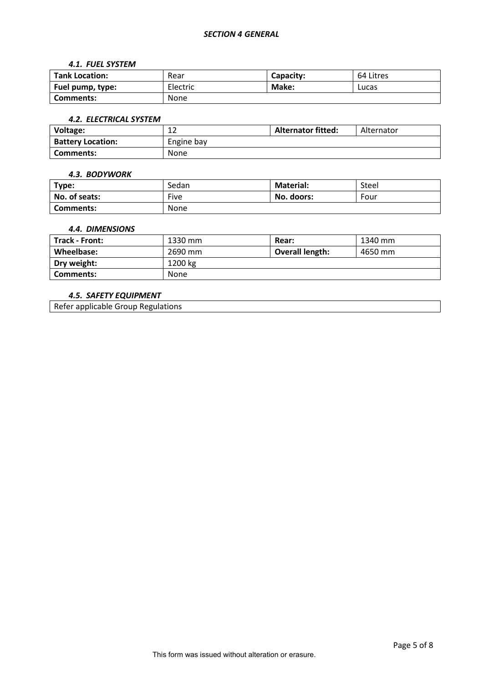## *SECTION 4 GENERAL*

#### *4.1. FUEL SYSTEM*

| <b>Tank Location:</b> | Rear     | Capacity: | 64 Litres |
|-----------------------|----------|-----------|-----------|
| Fuel pump, type:      | Electric | Make:     | Lucas     |
| Comments:             | None     |           |           |

#### *4.2. ELECTRICAL SYSTEM*

| Voltage:                 | $\sim$<br>∸ | <b>Alternator fitted:</b> | Alternator |
|--------------------------|-------------|---------------------------|------------|
| <b>Battery Location:</b> | Engine bay  |                           |            |
| Comments:                | None        |                           |            |

#### *4.3. BODYWORK*

| Type:         | Sedan       | <b>Material:</b> | Steel |
|---------------|-------------|------------------|-------|
| No. of seats: | Five        | No. doors:       | Four  |
| Comments:     | <b>None</b> |                  |       |

## *4.4. DIMENSIONS*

| <b>Track - Front:</b> | 1330 mm | Rear:                  | 1340 mm |
|-----------------------|---------|------------------------|---------|
| Wheelbase:            | 2690 mm | <b>Overall length:</b> | 4650 mm |
| Dry weight:           | 1200 kg |                        |         |
| Comments:             | None    |                        |         |

## *4.5. SAFETY EQUIPMENT*

Refer applicable Group Regulations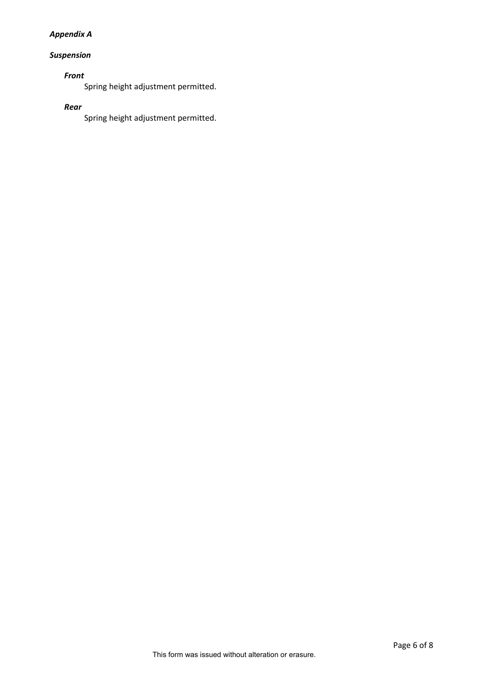# *Appendix A*

# *Suspension*

# *Front*

Spring height adjustment permitted.

## *Rear*

Spring height adjustment permitted.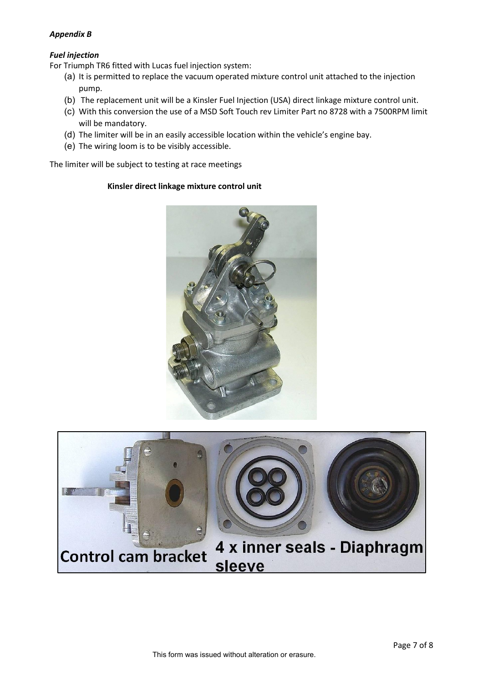## *Appendix B*

# *Fuel injection*

For Triumph TR6 fitted with Lucas fuel injection system:

- (a) It is permitted to replace the vacuum operated mixture control unit attached to the injection pump.
- (b) The replacement unit will be a Kinsler Fuel Injection (USA) direct linkage mixture control unit.
- (c) With this conversion the use of a MSD Soft Touch rev Limiter Part no 8728 with a 7500RPM limit will be mandatory.
- (d) The limiter will be in an easily accessible location within the vehicle's engine bay.
- (e) The wiring loom is to be visibly accessible.

The limiter will be subject to testing at race meetings

## **Kinsler direct linkage mixture control unit**